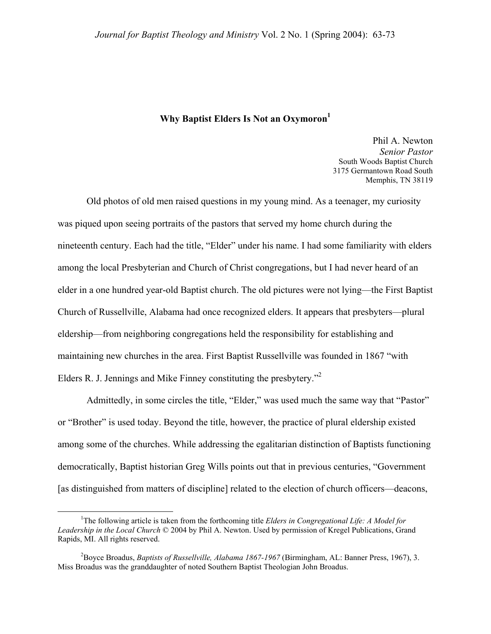## **Why Baptist Elders Is Not an Oxymoron**<sup>1</sup>

Phil A. Newton *Senior Pastor*  South Woods Baptist Church 3175 Germantown Road South Memphis, TN 38119

Old photos of old men raised questions in my young mind. As a teenager, my curiosity was piqued upon seeing portraits of the pastors that served my home church during the nineteenth century. Each had the title, "Elder" under his name. I had some familiarity with elders among the local Presbyterian and Church of Christ congregations, but I had never heard of an elder in a one hundred year-old Baptist church. The old pictures were not lying—the First Baptist Church of Russellville, Alabama had once recognized elders. It appears that presbyters—plural eldership—from neighboring congregations held the responsibility for establishing and maintaining new churches in the area. First Baptist Russellville was founded in 1867 "with Elders R. J. Jennings and Mike Finney constituting the presbytery."[2](#page-0-1)

Admittedly, in some circles the title, "Elder," was used much the same way that "Pastor" or "Brother" is used today. Beyond the title, however, the practice of plural eldership existed among some of the churches. While addressing the egalitarian distinction of Baptists functioning democratically, Baptist historian Greg Wills points out that in previous centuries, "Government [as distinguished from matters of discipline] related to the election of church officers—deacons,

<span id="page-0-0"></span> $\frac{1}{1}$ <sup>1</sup>The following article is taken from the forthcoming title *Elders in Congregational Life: A Model for Leadership in the Local Church* © 2004 by Phil A. Newton. Used by permission of Kregel Publications, Grand Rapids, MI. All rights reserved.

<span id="page-0-1"></span><sup>2</sup> Boyce Broadus, *Baptists of Russellville, Alabama 1867-1967* (Birmingham, AL: Banner Press, 1967), 3. Miss Broadus was the granddaughter of noted Southern Baptist Theologian John Broadus.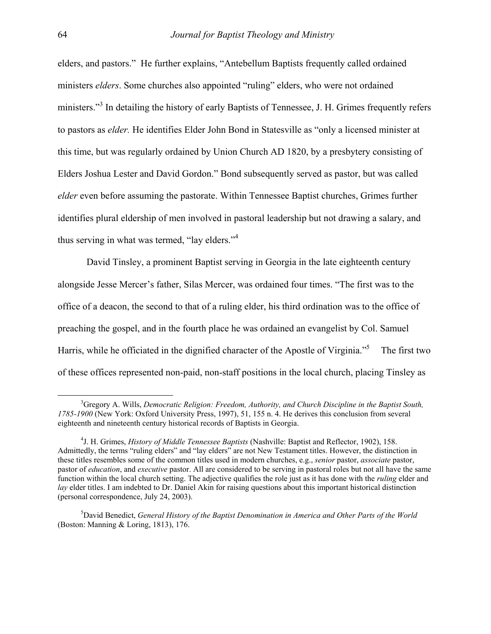elders, and pastors." He further explains, "Antebellum Baptists frequently called ordained ministers *elders*. Some churches also appointed "ruling" elders, who were not ordained ministers."<sup>[3](#page-1-0)</sup> In detailing the history of early Baptists of Tennessee, J. H. Grimes frequently refers to pastors as *elder.* He identifies Elder John Bond in Statesville as "only a licensed minister at this time, but was regularly ordained by Union Church AD 1820, by a presbytery consisting of Elders Joshua Lester and David Gordon." Bond subsequently served as pastor, but was called *elder* even before assuming the pastorate. Within Tennessee Baptist churches, Grimes further identifies plural eldership of men involved in pastoral leadership but not drawing a salary, and thus serving in what was termed, "lay elders."[4](#page-1-1)

David Tinsley, a prominent Baptist serving in Georgia in the late eighteenth century alongside Jesse Mercer's father, Silas Mercer, was ordained four times. "The first was to the office of a deacon, the second to that of a ruling elder, his third ordination was to the office of preaching the gospel, and in the fourth place he was ordained an evangelist by Col. Samuel Harris, while he officiated in the dignified character of the Apostle of Virginia."[5](#page-1-2) The first two of these offices represented non-paid, non-staff positions in the local church, placing Tinsley as

<span id="page-1-0"></span> <sup>3</sup> <sup>3</sup>Gregory A. Wills, *Democratic Religion: Freedom, Authority, and Church Discipline in the Baptist South, 1785-1900* (New York: Oxford University Press, 1997), 51, 155 n. 4. He derives this conclusion from several eighteenth and nineteenth century historical records of Baptists in Georgia.

<span id="page-1-1"></span><sup>4</sup> J. H. Grimes, *History of Middle Tennessee Baptists* (Nashville: Baptist and Reflector, 1902), 158. Admittedly, the terms "ruling elders" and "lay elders" are not New Testament titles. However, the distinction in these titles resembles some of the common titles used in modern churches, e.g., *senior* pastor, *associate* pastor, pastor of *education*, and *executive* pastor. All are considered to be serving in pastoral roles but not all have the same function within the local church setting. The adjective qualifies the role just as it has done with the *ruling* elder and *lay* elder titles. I am indebted to Dr. Daniel Akin for raising questions about this important historical distinction (personal correspondence, July 24, 2003).

<span id="page-1-2"></span><sup>5</sup> David Benedict, *General History of the Baptist Denomination in America and Other Parts of the World* (Boston: Manning & Loring, 1813), 176.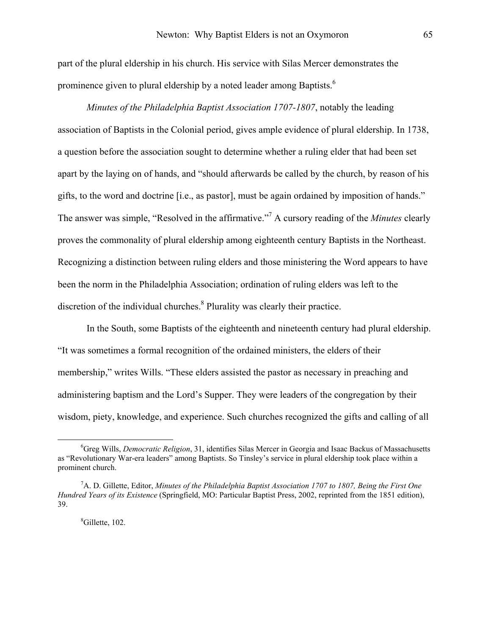part of the plural eldership in his church. His service with Silas Mercer demonstrates the prominence given to plural eldership by a noted leader among Baptists.<sup>[6](#page-2-0)</sup>

*Minutes of the Philadelphia Baptist Association 1707-1807*, notably the leading association of Baptists in the Colonial period, gives ample evidence of plural eldership. In 1738, a question before the association sought to determine whether a ruling elder that had been set apart by the laying on of hands, and "should afterwards be called by the church, by reason of his gifts, to the word and doctrine [i.e., as pastor], must be again ordained by imposition of hands." The answer was simple, "Resolved in the affirmative.["7](#page-2-1) A cursory reading of the *Minutes* clearly proves the commonality of plural eldership among eighteenth century Baptists in the Northeast. Recognizing a distinction between ruling elders and those ministering the Word appears to have been the norm in the Philadelphia Association; ordination of ruling elders was left to the discretion of the individual churches.<sup>[8](#page-2-2)</sup> Plurality was clearly their practice.

In the South, some Baptists of the eighteenth and nineteenth century had plural eldership. "It was sometimes a formal recognition of the ordained ministers, the elders of their membership," writes Wills. "These elders assisted the pastor as necessary in preaching and administering baptism and the Lord's Supper. They were leaders of the congregation by their wisdom, piety, knowledge, and experience. Such churches recognized the gifts and calling of all

<span id="page-2-0"></span> <sup>6</sup> Greg Wills, *Democratic Religion*, 31, identifies Silas Mercer in Georgia and Isaac Backus of Massachusetts as "Revolutionary War-era leaders" among Baptists. So Tinsley's service in plural eldership took place within a prominent church.

<span id="page-2-1"></span><sup>7</sup> A. D. Gillette, Editor, *Minutes of the Philadelphia Baptist Association 1707 to 1807, Being the First One Hundred Years of its Existence* (Springfield, MO: Particular Baptist Press, 2002, reprinted from the 1851 edition), 39.

<span id="page-2-2"></span><sup>8</sup> Gillette, 102.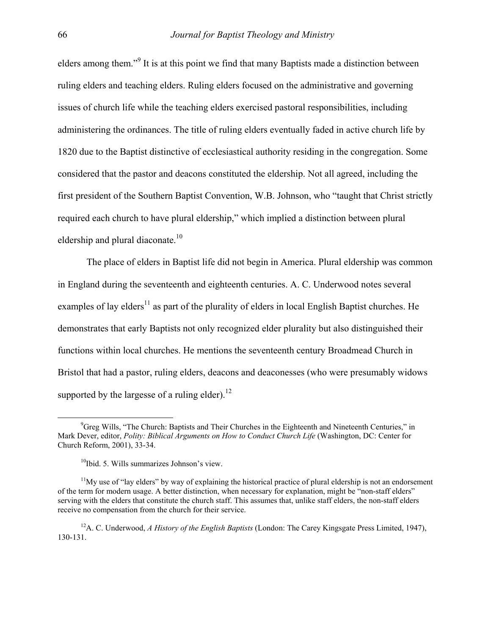elders among them."<sup>[9](#page-3-0)</sup> It is at this point we find that many Baptists made a distinction between ruling elders and teaching elders. Ruling elders focused on the administrative and governing issues of church life while the teaching elders exercised pastoral responsibilities, including administering the ordinances. The title of ruling elders eventually faded in active church life by 1820 due to the Baptist distinctive of ecclesiastical authority residing in the congregation. Some considered that the pastor and deacons constituted the eldership. Not all agreed, including the first president of the Southern Baptist Convention, W.B. Johnson, who "taught that Christ strictly required each church to have plural eldership," which implied a distinction between plural eldership and plural diaconate.<sup>[10](#page-3-1)</sup>

The place of elders in Baptist life did not begin in America. Plural eldership was common in England during the seventeenth and eighteenth centuries. A. C. Underwood notes several examples of lay elders<sup>11</sup> as part of the plurality of elders in local English Baptist churches. He demonstrates that early Baptists not only recognized elder plurality but also distinguished their functions within local churches. He mentions the seventeenth century Broadmead Church in Bristol that had a pastor, ruling elders, deacons and deaconesses (who were presumably widows supported by the largesse of a ruling elder).<sup>12</sup>

<span id="page-3-0"></span> $\frac{1}{\sqrt{9}}$  $\degree$ Greg Wills, "The Church: Baptists and Their Churches in the Eighteenth and Nineteenth Centuries," in Mark Dever, editor, *Polity: Biblical Arguments on How to Conduct Church Life* (Washington, DC: Center for Church Reform, 2001), 33-34.

<span id="page-3-2"></span><span id="page-3-1"></span> $10$ Ibid. 5. Wills summarizes Johnson's view.

 $11$ My use of "lay elders" by way of explaining the historical practice of plural eldership is not an endorsement of the term for modern usage. A better distinction, when necessary for explanation, might be "non-staff elders" serving with the elders that constitute the church staff. This assumes that, unlike staff elders, the non-staff elders receive no compensation from the church for their service.

<span id="page-3-3"></span><sup>12</sup>A. C. Underwood, *A History of the English Baptists* (London: The Carey Kingsgate Press Limited, 1947), 130-131.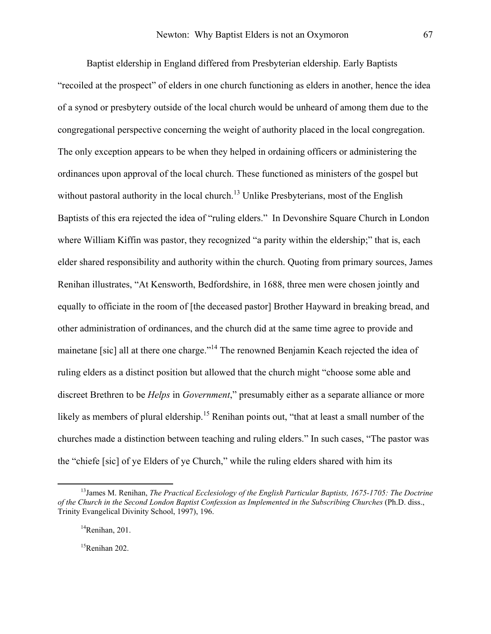Baptist eldership in England differed from Presbyterian eldership. Early Baptists "recoiled at the prospect" of elders in one church functioning as elders in another, hence the idea of a synod or presbytery outside of the local church would be unheard of among them due to the congregational perspective concerning the weight of authority placed in the local congregation. The only exception appears to be when they helped in ordaining officers or administering the ordinances upon approval of the local church. These functioned as ministers of the gospel but without pastoral authority in the local church.<sup>13</sup> Unlike Presbyterians, most of the English Baptists of this era rejected the idea of "ruling elders." In Devonshire Square Church in London where William Kiffin was pastor, they recognized "a parity within the eldership;" that is, each elder shared responsibility and authority within the church. Quoting from primary sources, James Renihan illustrates, "At Kensworth, Bedfordshire, in 1688, three men were chosen jointly and equally to officiate in the room of [the deceased pastor] Brother Hayward in breaking bread, and other administration of ordinances, and the church did at the same time agree to provide and mainetane [sic] all at there one charge."<sup>14</sup> The renowned Benjamin Keach rejected the idea of ruling elders as a distinct position but allowed that the church might "choose some able and discreet Brethren to be *Helps* in *Government*," presumably either as a separate alliance or more likely as members of plural eldership.<sup>15</sup> Renihan points out, "that at least a small number of the churches made a distinction between teaching and ruling elders." In such cases, "The pastor was the "chiefe [sic] of ye Elders of ye Church," while the ruling elders shared with him its

<span id="page-4-2"></span> $15$ Renihan 202.

<span id="page-4-0"></span> <sup>13</sup>James M. Renihan, *The Practical Ecclesiology of the English Particular Baptists, 1675-1705: The Doctrine of the Church in the Second London Baptist Confession as Implemented in the Subscribing Churches* (Ph.D. diss., Trinity Evangelical Divinity School, 1997), 196.

<span id="page-4-1"></span> $14$ Renihan, 201.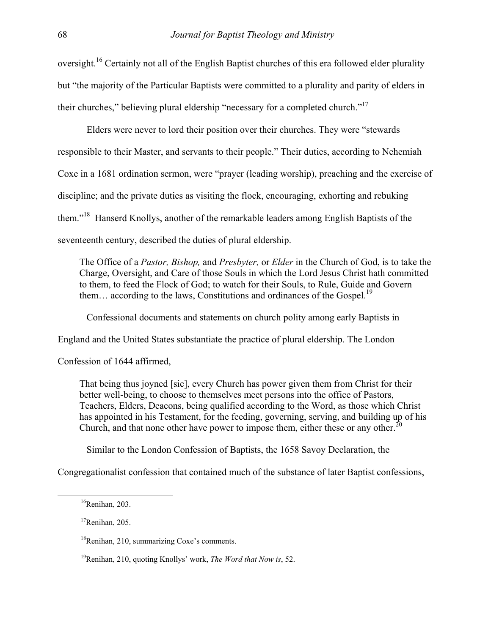oversight.[16 C](#page-5-0)ertainly not all of the English Baptist churches of this era followed elder plurality but "the majority of the Particular Baptists were committed to a plurality and parity of elders in their churches," believing plural eldership "necessary for a completed church.["17](#page-5-1)

Elders were never to lord their position over their churches. They were "stewards responsible to their Master, and servants to their people." Their duties, according to Nehemiah Coxe in a 1681 ordination sermon, were "prayer (leading worship), preaching and the exercise of discipline; and the private duties as visiting the flock, encouraging, exhorting and rebuking them."[18](#page-5-2) Hanserd Knollys, another of the remarkable leaders among English Baptists of the seventeenth century, described the duties of plural eldership.

The Office of a *Pastor, Bishop,* and *Presbyter,* or *Elder* in the Church of God, is to take the Charge, Oversight, and Care of those Souls in which the Lord Jesus Christ hath committed to them, to feed the Flock of God; to watch for their Souls, to Rule, Guide and Govern them... according to the laws, Constitutions and ordinances of the Gospel.<sup>19</sup>

Confessional documents and statements on church polity among early Baptists in

England and the United States substantiate the practice of plural eldership. The London

Confession of 1644 affirmed,

That being thus joyned [sic], every Church has power given them from Christ for their better well-being, to choose to themselves meet persons into the office of Pastors, Teachers, Elders, Deacons, being qualified according to the Word, as those which Christ has appointed in his Testament, for the feeding, governing, serving, and building up of his Church, and that none other have power to impose them, either these or any other.<sup>20</sup>

<span id="page-5-4"></span>Similar to the London Confession of Baptists, the 1658 Savoy Declaration, the

Congregationalist confession that contained much of the substance of later Baptist confessions,

<span id="page-5-0"></span> $16$ Renihan, 203.

<span id="page-5-1"></span> $17$ Renihan, 205.

<span id="page-5-2"></span><sup>&</sup>lt;sup>18</sup>Renihan, 210, summarizing Coxe's comments.

<span id="page-5-3"></span><sup>19</sup>Renihan, 210, quoting Knollys' work, *The Word that Now is*, 52.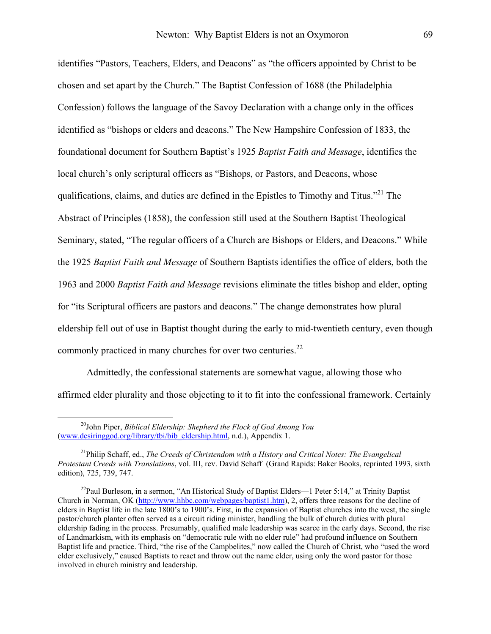identifies "Pastors, Teachers, Elders, and Deacons" as "the officers appointed by Christ to be chosen and set apart by the Church." The Baptist Confession of 1688 (the Philadelphia Confession) follows the language of the Savoy Declaration with a change only in the offices identified as "bishops or elders and deacons." The New Hampshire Confession of 1833, the foundational document for Southern Baptist's 1925 *Baptist Faith and Message*, identifies the local church's only scriptural officers as "Bishops, or Pastors, and Deacons, whose qualifications, claims, and duties are defined in the Epistles to Timothy and Titus."<sup>21</sup> The Abstract of Principles (1858), the confession still used at the Southern Baptist Theological Seminary, stated, "The regular officers of a Church are Bishops or Elders, and Deacons." While the 1925 *Baptist Faith and Message* of Southern Baptists identifies the office of elders, both the 1963 and 2000 *Baptist Faith and Message* revisions eliminate the titles bishop and elder, opting for "its Scriptural officers are pastors and deacons." The change demonstrates how plural eldership fell out of use in Baptist thought during the early to mid-twentieth century, even though commonly practiced in many churches for over two centuries. $^{22}$  $^{22}$  $^{22}$ 

Admittedly, the confessional statements are somewhat vague, allowing those who affirmed elder plurality and those objecting to it to fit into the confessional framework. Certainly

 <sup>20</sup>John Piper, *Biblical Eldership: Shepherd the Flock of God Among You*  [\(www.desiringgod.org/library/tbi/bib\\_eldership.html](http://www.desiringgod.org/library/tbi/bib_eldership.html), n.d.), Appendix 1.

<span id="page-6-0"></span><sup>21</sup>Philip Schaff, ed., *The Creeds of Christendom with a History and Critical Notes: The Evangelical Protestant Creeds with Translations*, vol. III, rev. David Schaff (Grand Rapids: Baker Books, reprinted 1993, sixth edition), 725, 739, 747.

<span id="page-6-1"></span><sup>&</sup>lt;sup>22</sup>Paul Burleson, in a sermon, "An Historical Study of Baptist Elders—1 Peter 5:14," at Trinity Baptist Church in Norman, OK ([http://www.hhbc.com/webpages/baptist1.htm\)](http://www.hhbc.com/webpages/baptist1.htm), 2, offers three reasons for the decline of elders in Baptist life in the late 1800's to 1900's. First, in the expansion of Baptist churches into the west, the single pastor/church planter often served as a circuit riding minister, handling the bulk of church duties with plural eldership fading in the process. Presumably, qualified male leadership was scarce in the early days. Second, the rise of Landmarkism, with its emphasis on "democratic rule with no elder rule" had profound influence on Southern Baptist life and practice. Third, "the rise of the Campbelites," now called the Church of Christ, who "used the word elder exclusively," caused Baptists to react and throw out the name elder, using only the word pastor for those involved in church ministry and leadership.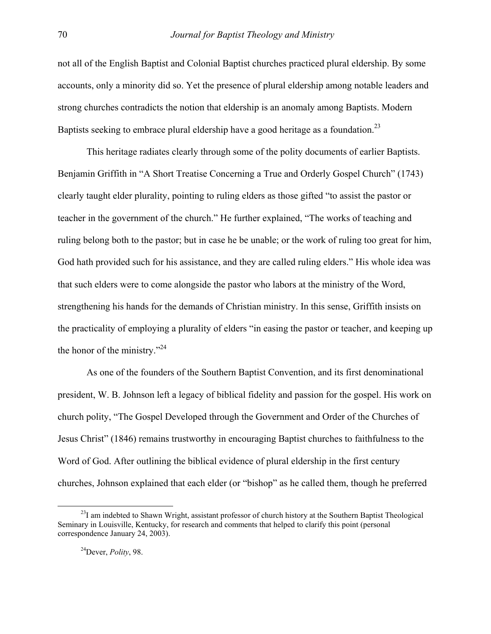not all of the English Baptist and Colonial Baptist churches practiced plural eldership. By some accounts, only a minority did so. Yet the presence of plural eldership among notable leaders and strong churches contradicts the notion that eldership is an anomaly among Baptists. Modern Baptists seeking to embrace plural eldership have a good heritage as a foundation.<sup>23</sup>

This heritage radiates clearly through some of the polity documents of earlier Baptists. Benjamin Griffith in "A Short Treatise Concerning a True and Orderly Gospel Church" (1743) clearly taught elder plurality, pointing to ruling elders as those gifted "to assist the pastor or teacher in the government of the church." He further explained, "The works of teaching and ruling belong both to the pastor; but in case he be unable; or the work of ruling too great for him, God hath provided such for his assistance, and they are called ruling elders." His whole idea was that such elders were to come alongside the pastor who labors at the ministry of the Word, strengthening his hands for the demands of Christian ministry. In this sense, Griffith insists on the practicality of employing a plurality of elders "in easing the pastor or teacher, and keeping up the honor of the ministry."<sup>[24](#page-7-1)</sup>

As one of the founders of the Southern Baptist Convention, and its first denominational president, W. B. Johnson left a legacy of biblical fidelity and passion for the gospel. His work on church polity, "The Gospel Developed through the Government and Order of the Churches of Jesus Christ" (1846) remains trustworthy in encouraging Baptist churches to faithfulness to the Word of God. After outlining the biblical evidence of plural eldership in the first century churches, Johnson explained that each elder (or "bishop" as he called them, though he preferred

<span id="page-7-0"></span><sup>&</sup>lt;sup>23</sup>I am indebted to Shawn Wright, assistant professor of church history at the Southern Baptist Theological Seminary in Louisville, Kentucky, for research and comments that helped to clarify this point (personal correspondence January 24, 2003).

<span id="page-7-1"></span><sup>24</sup>Dever, *Polity*, 98.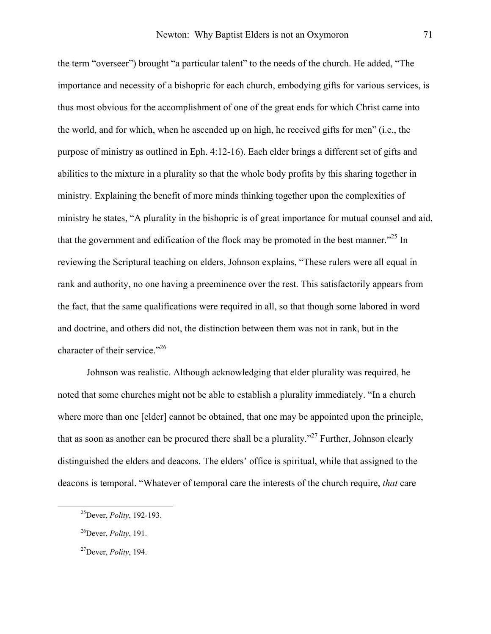the term "overseer") brought "a particular talent" to the needs of the church. He added, "The importance and necessity of a bishopric for each church, embodying gifts for various services, is thus most obvious for the accomplishment of one of the great ends for which Christ came into the world, and for which, when he ascended up on high, he received gifts for men" (i.e., the purpose of ministry as outlined in Eph. 4:12-16). Each elder brings a different set of gifts and abilities to the mixture in a plurality so that the whole body profits by this sharing together in ministry. Explaining the benefit of more minds thinking together upon the complexities of ministry he states, "A plurality in the bishopric is of great importance for mutual counsel and aid, that the government and edification of the flock may be promoted in the best manner."[25 I](#page-8-0)n reviewing the Scriptural teaching on elders, Johnson explains, "These rulers were all equal in rank and authority, no one having a preeminence over the rest. This satisfactorily appears from the fact, that the same qualifications were required in all, so that though some labored in word and doctrine, and others did not, the distinction between them was not in rank, but in the character of their service."<sup>[26](#page-8-1)</sup>

Johnson was realistic. Although acknowledging that elder plurality was required, he noted that some churches might not be able to establish a plurality immediately. "In a church where more than one [elder] cannot be obtained, that one may be appointed upon the principle, that as soon as another can be procured there shall be a plurality."<sup>27</sup> Further, Johnson clearly distinguished the elders and deacons. The elders' office is spiritual, while that assigned to the deacons is temporal. "Whatever of temporal care the interests of the church require, *that* care

<span id="page-8-0"></span> <sup>25</sup>Dever, *Polity*, 192-193.

<span id="page-8-1"></span><sup>26</sup>Dever, *Polity*, 191.

<span id="page-8-2"></span><sup>27</sup>Dever, *Polity*, 194.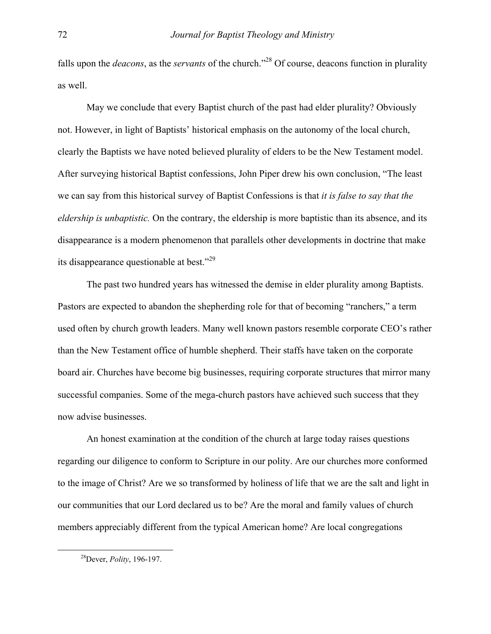falls upon the *deacons*, as the *servants* of the church."[28](#page-9-0) Of course, deacons function in plurality as well.

May we conclude that every Baptist church of the past had elder plurality? Obviously not. However, in light of Baptists' historical emphasis on the autonomy of the local church, clearly the Baptists we have noted believed plurality of elders to be the New Testament model. After surveying historical Baptist confessions, John Piper drew his own conclusion, "The least we can say from this historical survey of Baptist Confessions is that *it is false to say that the eldership is unbaptistic.* On the contrary, the eldership is more baptistic than its absence, and its disappearance is a modern phenomenon that parallels other developments in doctrine that make its disappearance questionable at best."<sup>29</sup>

The past two hundred years has witnessed the demise in elder plurality among Baptists. Pastors are expected to abandon the shepherding role for that of becoming "ranchers," a term used often by church growth leaders. Many well known pastors resemble corporate CEO's rather than the New Testament office of humble shepherd. Their staffs have taken on the corporate board air. Churches have become big businesses, requiring corporate structures that mirror many successful companies. Some of the mega-church pastors have achieved such success that they now advise businesses.

An honest examination at the condition of the church at large today raises questions regarding our diligence to conform to Scripture in our polity. Are our churches more conformed to the image of Christ? Are we so transformed by holiness of life that we are the salt and light in our communities that our Lord declared us to be? Are the moral and family values of church members appreciably different from the typical American home? Are local congregations

<span id="page-9-1"></span><span id="page-9-0"></span> <sup>28</sup>Dever, *Polity*, 196-197.